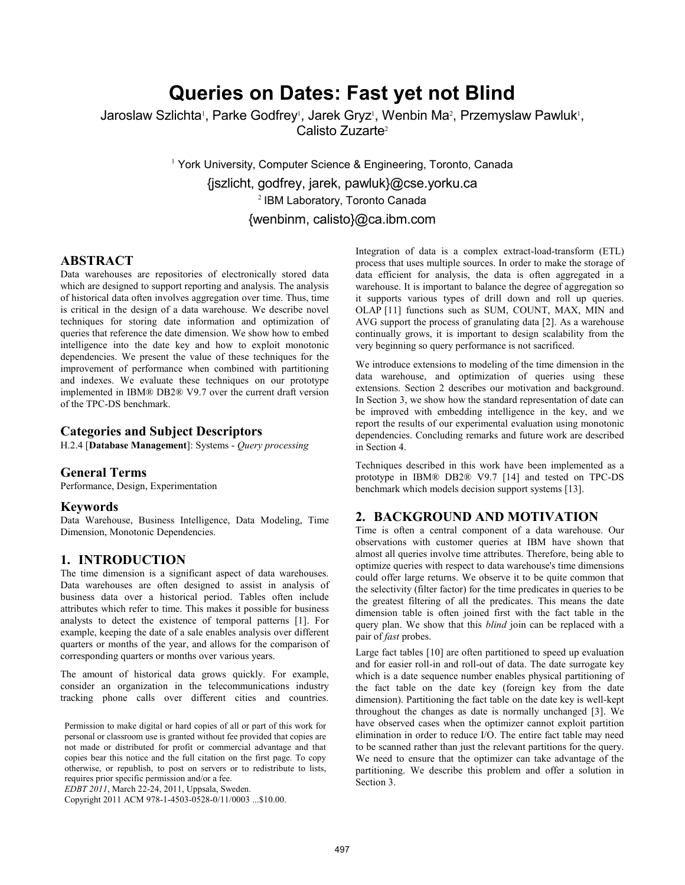# **Queries on Dates: Fast yet not Blind**

Jaroslaw Szlichta<sup>i</sup>, Parke Godfrey<sup>i</sup>, Jarek Gryz<sup>i</sup>, Wenbin Ma<sup>2</sup>, Przemyslaw Pawluk<sup>i</sup>, Calisto Zuzarte<sup>2</sup>

> <sup>1</sup> York University, Computer Science & Engineering, Toronto, Canada {jszlicht, godfrey, jarek, pawluk}@cse.yorku.ca 2 IBM Laboratory, Toronto Canada {wenbinm, calisto}@ca.ibm.com

## **ABSTRACT**

Data warehouses are repositories of electronically stored data which are designed to support reporting and analysis. The analysis of historical data often involves aggregation over time. Thus, time is critical in the design of a data warehouse. We describe novel techniques for storing date information and optimization of queries that reference the date dimension. We show how to embed intelligence into the date key and how to exploit monotonic dependencies. We present the value of these techniques for the improvement of performance when combined with partitioning and indexes. We evaluate these techniques on our prototype implemented in IBM® DB2® V9.7 over the current draft version of the TPC-DS benchmark.

## **Categories and Subject Descriptors**

H.2.4 [**Database Management**]: Systems - *Query processing*

## **General Terms**

Performance, Design, Experimentation

#### **Keywords**

Data Warehouse, Business Intelligence, Data Modeling, Time Dimension, Monotonic Dependencies.

## **1. INTRODUCTION**

The time dimension is a significant aspect of data warehouses. Data warehouses are often designed to assist in analysis of business data over a historical period. Tables often include attributes which refer to time. This makes it possible for business analysts to detect the existence of temporal patterns [1]. For example, keeping the date of a sale enables analysis over different quarters or months of the year, and allows for the comparison of corresponding quarters or months over various years.

The amount of historical data grows quickly. For example, consider an organization in the telecommunications industry tracking phone calls over different cities and countries.

Permission to make digital or hard copies of all or part of this work for personal or classroom use is granted without fee provided that copies are not made or distributed for profit or commercial advantage and that copies bear this notice and the full citation on the first page. To copy otherwise, or republish, to post on servers or to redistribute to lists, requires prior specific permission and/or a fee.

*EDBT 2011*, March 22-24, 2011, Uppsala, Sweden.

Copyright 2011 ACM 978-1-4503-0528-0/11/0003 ...\$10.00.

Integration of data is a complex extract-load-transform (ETL) process that uses multiple sources. In order to make the storage of data efficient for analysis, the data is often aggregated in a warehouse. It is important to balance the degree of aggregation so it supports various types of drill down and roll up queries. OLAP [11] functions such as SUM, COUNT, MAX, MIN and AVG support the process of granulating data [2]. As a warehouse continually grows, it is important to design scalability from the very beginning so query performance is not sacrificed.

We introduce extensions to modeling of the time dimension in the data warehouse, and optimization of queries using these extensions. Section 2 describes our motivation and background. In Section 3, we show how the standard representation of date can be improved with embedding intelligence in the key, and we report the results of our experimental evaluation using monotonic dependencies. Concluding remarks and future work are described in Section 4.

Techniques described in this work have been implemented as a prototype in IBM® DB2® V9.7 [14] and tested on TPC-DS benchmark which models decision support systems [13].

## **2. BACKGROUND AND MOTIVATION**

Time is often a central component of a data warehouse. Our observations with customer queries at IBM have shown that almost all queries involve time attributes. Therefore, being able to optimize queries with respect to data warehouse's time dimensions could offer large returns. We observe it to be quite common that the selectivity (filter factor) for the time predicates in queries to be the greatest filtering of all the predicates. This means the date dimension table is often joined first with the fact table in the query plan. We show that this *blind* join can be replaced with a pair of *fast* probes.

Large fact tables [10] are often partitioned to speed up evaluation and for easier roll-in and roll-out of data. The date surrogate key which is a date sequence number enables physical partitioning of the fact table on the date key (foreign key from the date dimension). Partitioning the fact table on the date key is well-kept throughout the changes as date is normally unchanged [3]. We have observed cases when the optimizer cannot exploit partition elimination in order to reduce I/O. The entire fact table may need to be scanned rather than just the relevant partitions for the query. We need to ensure that the optimizer can take advantage of the partitioning. We describe this problem and offer a solution in Section 3.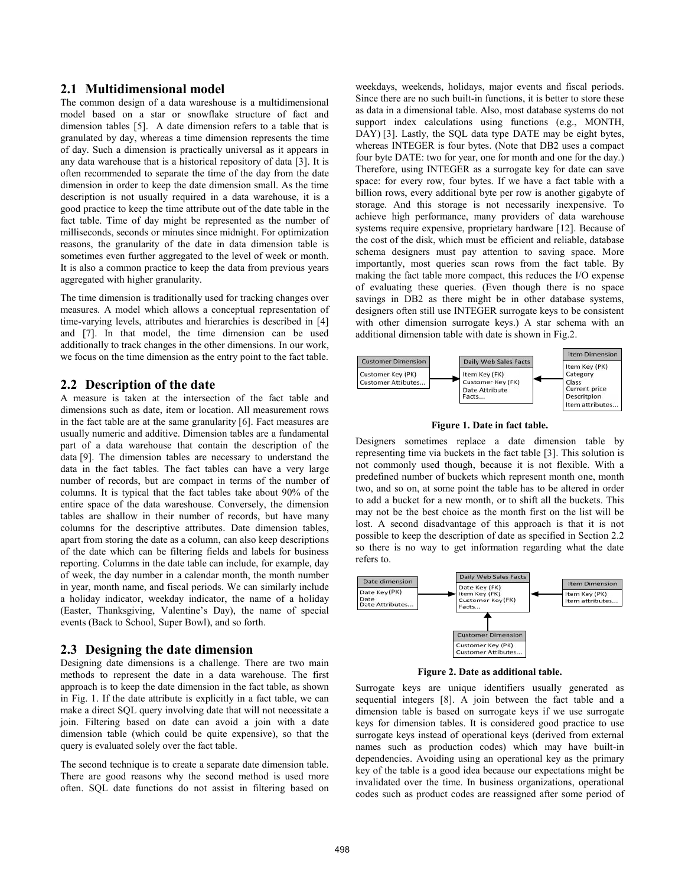#### **2.1 Multidimensional model**

The common design of a data wareshouse is a multidimensional model based on a star or snowflake structure of fact and dimension tables [5]. A date dimension refers to a table that is granulated by day, whereas a time dimension represents the time of day. Such a dimension is practically universal as it appears in any data warehouse that is a historical repository of data [3]. It is often recommended to separate the time of the day from the date dimension in order to keep the date dimension small. As the time description is not usually required in a data warehouse, it is a good practice to keep the time attribute out of the date table in the fact table. Time of day might be represented as the number of milliseconds, seconds or minutes since midnight. For optimization reasons, the granularity of the date in data dimension table is sometimes even further aggregated to the level of week or month. It is also a common practice to keep the data from previous years aggregated with higher granularity.

The time dimension is traditionally used for tracking changes over measures. A model which allows a conceptual representation of time-varying levels, attributes and hierarchies is described in [4] and [7]. In that model, the time dimension can be used additionally to track changes in the other dimensions. In our work, we focus on the time dimension as the entry point to the fact table.

#### **2.2 Description of the date**

A measure is taken at the intersection of the fact table and dimensions such as date, item or location. All measurement rows in the fact table are at the same granularity [6]. Fact measures are usually numeric and additive. Dimension tables are a fundamental part of a data warehouse that contain the description of the data [9]. The dimension tables are necessary to understand the data in the fact tables. The fact tables can have a very large number of records, but are compact in terms of the number of columns. It is typical that the fact tables take about 90% of the entire space of the data wareshouse. Conversely, the dimension tables are shallow in their number of records, but have many columns for the descriptive attributes. Date dimension tables, apart from storing the date as a column, can also keep descriptions of the date which can be filtering fields and labels for business reporting. Columns in the date table can include, for example, day of week, the day number in a calendar month, the month number in year, month name, and fiscal periods. We can similarly include a holiday indicator, weekday indicator, the name of a holiday (Easter, Thanksgiving, Valentine's Day), the name of special events (Back to School, Super Bowl), and so forth.

#### **2.3 Designing the date dimension**

Designing date dimensions is a challenge. There are two main methods to represent the date in a data warehouse. The first approach is to keep the date dimension in the fact table, as shown in Fig. 1. If the date attribute is explicitly in a fact table, we can make a direct SQL query involving date that will not necessitate a join. Filtering based on date can avoid a join with a date dimension table (which could be quite expensive), so that the query is evaluated solely over the fact table.

The second technique is to create a separate date dimension table. There are good reasons why the second method is used more often. SQL date functions do not assist in filtering based on

weekdays, weekends, holidays, major events and fiscal periods. Since there are no such built-in functions, it is better to store these as data in a dimensional table. Also, most database systems do not support index calculations using functions (e.g., MONTH, DAY) [3]. Lastly, the SQL data type DATE may be eight bytes, whereas INTEGER is four bytes. (Note that DB2 uses a compact four byte DATE: two for year, one for month and one for the day.) Therefore, using INTEGER as a surrogate key for date can save space: for every row, four bytes. If we have a fact table with a billion rows, every additional byte per row is another gigabyte of storage. And this storage is not necessarily inexpensive. To achieve high performance, many providers of data warehouse systems require expensive, proprietary hardware [12]. Because of the cost of the disk, which must be efficient and reliable, database schema designers must pay attention to saving space. More importantly, most queries scan rows from the fact table. By making the fact table more compact, this reduces the I/O expense of evaluating these queries. (Even though there is no space savings in DB2 as there might be in other database systems, designers often still use INTEGER surrogate keys to be consistent with other dimension surrogate keys.) A star schema with an additional dimension table with date is shown in Fig.2.



**Figure 1. Date in fact table.**

Designers sometimes replace a date dimension table by representing time via buckets in the fact table [3]. This solution is not commonly used though, because it is not flexible. With a predefined number of buckets which represent month one, month two, and so on, at some point the table has to be altered in order to add a bucket for a new month, or to shift all the buckets. This may not be the best choice as the month first on the list will be lost. A second disadvantage of this approach is that it is not possible to keep the description of date as specified in Section 2.2 so there is no way to get information regarding what the date refers to.



**Figure 2. Date as additional table.**

Surrogate keys are unique identifiers usually generated as sequential integers [8]. A join between the fact table and a dimension table is based on surrogate keys if we use surrogate keys for dimension tables. It is considered good practice to use surrogate keys instead of operational keys (derived from external names such as production codes) which may have built-in dependencies. Avoiding using an operational key as the primary key of the table is a good idea because our expectations might be invalidated over the time. In business organizations, operational codes such as product codes are reassigned after some period of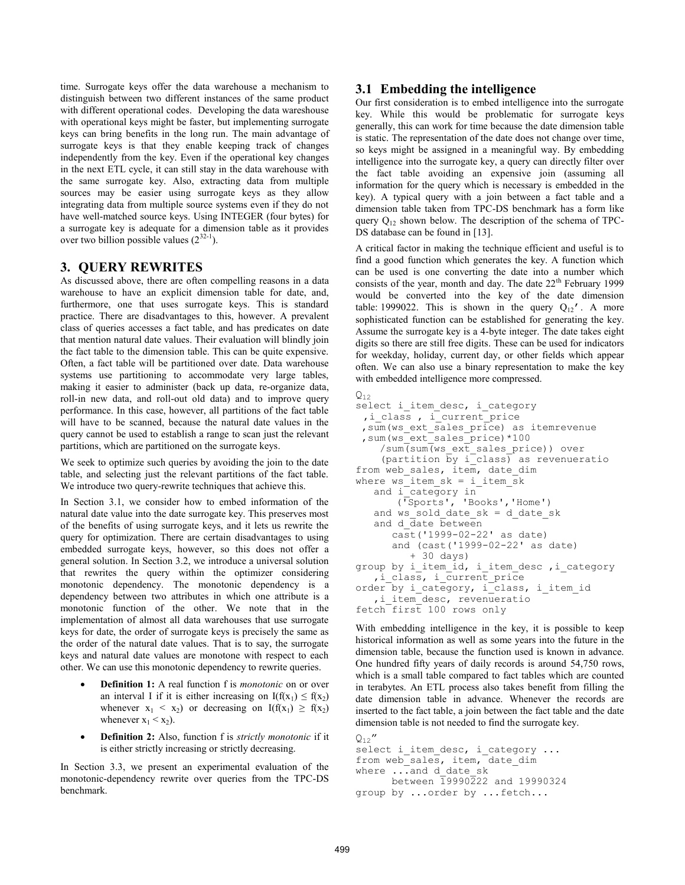time. Surrogate keys offer the data warehouse a mechanism to distinguish between two different instances of the same product with different operational codes. Developing the data wareshouse with operational keys might be faster, but implementing surrogate keys can bring benefits in the long run. The main advantage of surrogate keys is that they enable keeping track of changes independently from the key. Even if the operational key changes in the next ETL cycle, it can still stay in the data warehouse with the same surrogate key. Also, extracting data from multiple sources may be easier using surrogate keys as they allow integrating data from multiple source systems even if they do not have well-matched source keys. Using INTEGER (four bytes) for a surrogate key is adequate for a dimension table as it provides over two billion possible values  $(2^{32-1})$ .

### **3. QUERY REWRITES**

As discussed above, there are often compelling reasons in a data warehouse to have an explicit dimension table for date, and, furthermore, one that uses surrogate keys. This is standard practice. There are disadvantages to this, however. A prevalent class of queries accesses a fact table, and has predicates on date that mention natural date values. Their evaluation will blindly join the fact table to the dimension table. This can be quite expensive. Often, a fact table will be partitioned over date. Data warehouse systems use partitioning to accommodate very large tables, making it easier to administer (back up data, re-organize data, roll-in new data, and roll-out old data) and to improve query performance. In this case, however, all partitions of the fact table will have to be scanned, because the natural date values in the query cannot be used to establish a range to scan just the relevant partitions, which are partitioned on the surrogate keys.

We seek to optimize such queries by avoiding the join to the date table, and selecting just the relevant partitions of the fact table. We introduce two query-rewrite techniques that achieve this.

In Section 3.1, we consider how to embed information of the natural date value into the date surrogate key. This preserves most of the benefits of using surrogate keys, and it lets us rewrite the query for optimization. There are certain disadvantages to using embedded surrogate keys, however, so this does not offer a general solution. In Section 3.2, we introduce a universal solution that rewrites the query within the optimizer considering monotonic dependency. The monotonic dependency is a dependency between two attributes in which one attribute is a monotonic function of the other. We note that in the implementation of almost all data warehouses that use surrogate keys for date, the order of surrogate keys is precisely the same as the order of the natural date values. That is to say, the surrogate keys and natural date values are monotone with respect to each other. We can use this monotonic dependency to rewrite queries.

- **Definition 1:** A real function f is *monotonic* on or over an interval I if it is either increasing on  $I(f(x_1) \le f(x_2))$ whenever  $x_1 \leq x_2$ ) or decreasing on  $I(f(x_1) \geq f(x_2))$ whenever  $x_1 < x_2$ ).
- **Definition 2:** Also, function f is *strictly monotonic* if it is either strictly increasing or strictly decreasing.

In Section 3.3, we present an experimental evaluation of the monotonic-dependency rewrite over queries from the TPC-DS benchmark.

## **3.1 Embedding the intelligence**

Our first consideration is to embed intelligence into the surrogate key. While this would be problematic for surrogate keys generally, this can work for time because the date dimension table is static. The representation of the date does not change over time, so keys might be assigned in a meaningful way. By embedding intelligence into the surrogate key, a query can directly filter over the fact table avoiding an expensive join (assuming all information for the query which is necessary is embedded in the key). A typical query with a join between a fact table and a dimension table taken from TPC-DS benchmark has a form like query  $Q_{12}$  shown below. The description of the schema of TPC-DS database can be found in [13].

A critical factor in making the technique efficient and useful is to find a good function which generates the key. A function which can be used is one converting the date into a number which consists of the year, month and day. The date 22<sup>th</sup> February 1999 would be converted into the key of the date dimension table: 1999022. This is shown in the query  $Q_{12}'$ . A more sophisticated function can be established for generating the key. Assume the surrogate key is a 4-byte integer. The date takes eight digits so there are still free digits. These can be used for indicators for weekday, holiday, current day, or other fields which appear often. We can also use a binary representation to make the key with embedded intelligence more compressed.

```
Q_{12}select i item desc, i category
 ,i_class , i_current_price
 , sum (ws ext sales price) as itemrevenue
 ,sum(ws_ext_sales_price)*100
    /sum(sum(ws_ext_sales_price)) over
    (partition by i_class) as revenueratio
from web_sales, item, date_dim
where \overline{ws} item sk = i item sk
   and i_category in
       ('Sports', 'Books','Home')
   and ws sold date sk = d date skand d date between
      cast('1999-02-22' as date)
      and (cast('1999-02-22' as date)
         + 30 days)
group by i_item_id, i_item_desc ,i_category
   ,i_class, i_current_price
order by i_category, i_class, i_item_id
   , i item<sup>desc</sup>, revenueratio
fetch first 100 rows only
```
With embedding intelligence in the key, it is possible to keep historical information as well as some years into the future in the dimension table, because the function used is known in advance. One hundred fifty years of daily records is around 54,750 rows, which is a small table compared to fact tables which are counted in terabytes. An ETL process also takes benefit from filling the date dimension table in advance. Whenever the records are inserted to the fact table, a join between the fact table and the date dimension table is not needed to find the surrogate key.

```
Q_{12}"
select i_item_desc, i_category ...
from web sales, item, date dim
where \ldots and d date sk
      between 19990222 and 19990324
group by ...order by ...fetch...
```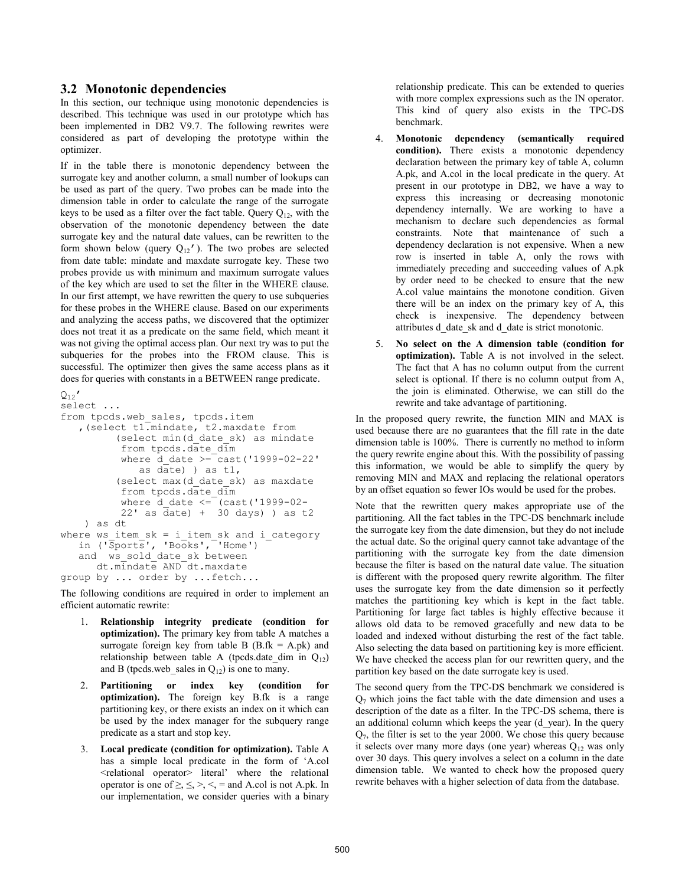#### **3.2 Monotonic dependencies**

In this section, our technique using monotonic dependencies is described. This technique was used in our prototype which has been implemented in DB2 V9.7. The following rewrites were considered as part of developing the prototype within the optimizer.

```
If in the table there is monotonic dependency between the
surrogate key and another column, a small number of lookups can
be used as part of the query. Two probes can be made into the
dimension table in order to calculate the range of the surrogate
keys to be used as a filter over the fact table. Query Q_{12}, with the
observation of the monotonic dependency between the date
surrogate key and the natural date values, can be rewritten to the
form shown below (query Q_{12}'). The two probes are selected
from date table: mindate and maxdate surrogate key. These two
probes provide us with minimum and maximum surrogate values
of the key which are used to set the filter in the WHERE clause.
In our first attempt, we have rewritten the query to use subqueries
for these probes in the WHERE clause. Based on our experiments
and analyzing the access paths, we discovered that the optimizer
does not treat it as a predicate on the same field, which meant it
was not giving the optimal access plan. Our next try was to put the
subqueries for the probes into the FROM clause. This is
successful. The optimizer then gives the same access plans as it
does for queries with constants in a BETWEEN range predicate.
```

```
Q_{12}
```

```
select ...
from tpcds.web sales, tpcds.item
   ,(select t1.mindate, t2.maxdate from
         (select min(d_date_sk) as mindate
          from tpcds.date dim
          where d date >= cast('1999-02-22'
             as \overline{date} ) as t1,
         (select max(d_date_sk) as maxdate
          from tpcds.date dim
          where d_date <= (cast('1999-02-
          22' as date) + 30 days) ) as t2
    ) as dt
where ws item sk = i item_sk and i_category
   in ('Sports', 'Books', 'Home')
   and ws_sold_date_sk between
      dt.mindate AND dt.maxdate
group by ... order by ...fetch...
```
The following conditions are required in order to implement an efficient automatic rewrite:

- 1. **Relationship integrity predicate (condition for optimization).** The primary key from table A matches a surrogate foreign key from table B  $(B.fk = A.pk)$  and relationship between table A (tpcds.date dim in  $Q_{12}$ ) and B (tpcds.web\_sales in  $Q_{12}$ ) is one to many.
- 2. **Partitioning or index key (condition for optimization).** The foreign key B.fk is a range partitioning key, or there exists an index on it which can be used by the index manager for the subquery range predicate as a start and stop key.
- 3. **Local predicate (condition for optimization).** Table A has a simple local predicate in the form of 'A.col <relational operator> literal' where the relational operator is one of  $\geq, \leq, \leq, \leq$  = and A.col is not A.pk. In our implementation, we consider queries with a binary

relationship predicate. This can be extended to queries with more complex expressions such as the IN operator. This kind of query also exists in the TPC-DS benchmark.

- 4. **Monotonic dependency (semantically required condition).** There exists a monotonic dependency declaration between the primary key of table A, column A.pk, and A.col in the local predicate in the query. At present in our prototype in DB2, we have a way to express this increasing or decreasing monotonic dependency internally. We are working to have a mechanism to declare such dependencies as formal constraints. Note that maintenance of such a dependency declaration is not expensive. When a new row is inserted in table A, only the rows with immediately preceding and succeeding values of A.pk by order need to be checked to ensure that the new A.col value maintains the monotone condition. Given there will be an index on the primary key of A, this check is inexpensive. The dependency between attributes d\_date\_sk and d\_date is strict monotonic.
- 5. **No select on the A dimension table (condition for optimization).** Table A is not involved in the select. The fact that A has no column output from the current select is optional. If there is no column output from A, the join is eliminated. Otherwise, we can still do the rewrite and take advantage of partitioning.

In the proposed query rewrite, the function MIN and MAX is used because there are no guarantees that the fill rate in the date dimension table is 100%. There is currently no method to inform the query rewrite engine about this. With the possibility of passing this information, we would be able to simplify the query by removing MIN and MAX and replacing the relational operators by an offset equation so fewer IOs would be used for the probes.

Note that the rewritten query makes appropriate use of the partitioning. All the fact tables in the TPC-DS benchmark include the surrogate key from the date dimension, but they do not include the actual date. So the original query cannot take advantage of the partitioning with the surrogate key from the date dimension because the filter is based on the natural date value. The situation is different with the proposed query rewrite algorithm. The filter uses the surrogate key from the date dimension so it perfectly matches the partitioning key which is kept in the fact table. Partitioning for large fact tables is highly effective because it allows old data to be removed gracefully and new data to be loaded and indexed without disturbing the rest of the fact table. Also selecting the data based on partitioning key is more efficient. We have checked the access plan for our rewritten query, and the partition key based on the date surrogate key is used.

The second query from the TPC-DS benchmark we considered is  $Q_7$  which joins the fact table with the date dimension and uses a description of the date as a filter. In the TPC-DS schema, there is an additional column which keeps the year (d\_year). In the query Q7 , the filter is set to the year 2000. We chose this query because it selects over many more days (one year) whereas  $Q_{12}$  was only over 30 days. This query involves a select on a column in the date dimension table. We wanted to check how the proposed query rewrite behaves with a higher selection of data from the database.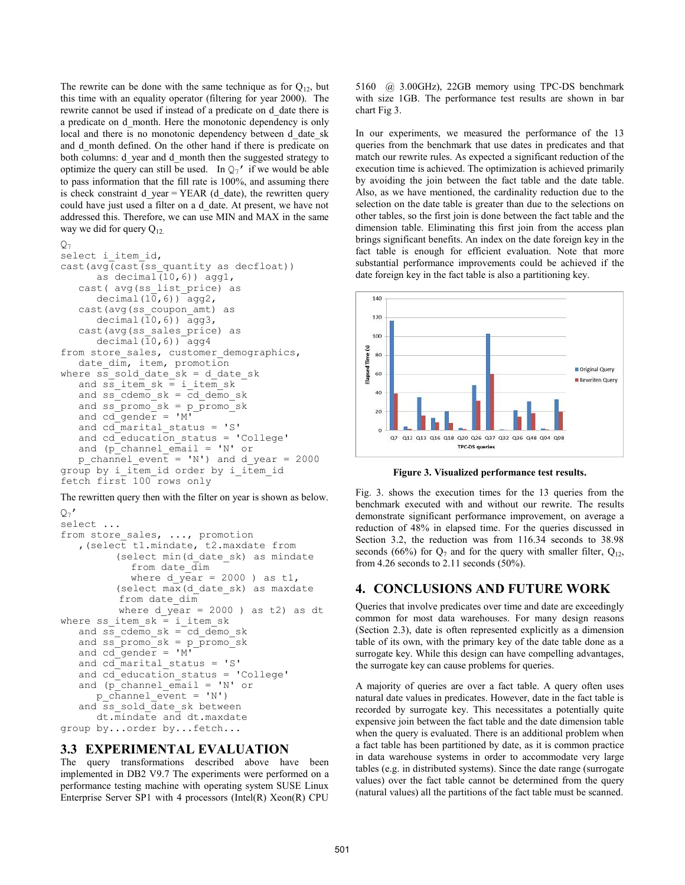The rewrite can be done with the same technique as for  $Q_{12}$ , but this time with an equality operator (filtering for year 2000). The rewrite cannot be used if instead of a predicate on d\_date there is a predicate on d\_month. Here the monotonic dependency is only local and there is no monotonic dependency between d\_date\_sk and d\_month defined. On the other hand if there is predicate on both columns: d\_year and d\_month then the suggested strategy to optimize the query can still be used. In  $Q_7'$  if we would be able to pass information that the fill rate is 100%, and assuming there is check constraint d year  $=$  YEAR (d date), the rewritten query could have just used a filter on a d\_date. At present, we have not addressed this. Therefore, we can use MIN and MAX in the same way we did for query  $Q_{12}$ .

```
Q<sub>7</sub>
```

```
select i item id,
cast(avg(cast(ss+quantity as decfloat))as decimal(10, 6)) agg1,
   cast( avg(ss_list_price) as
      decimal(1\overline{0}, 6)) agg2,
   cast(avg(ss_coupon_amt) as
      decimal(\overline{10}, 6)) agg3,
   cast(avg(ss_sales_price) as
      decimal(10,6)) agg4
from store sales, customer demographics,
   date \dim, item, promotion
where ss sold date sk = d date sk
   and ss item sk = i item sk
   and ss_cdemo_sk = cd_demo_sk
   and ss_promo_sk = p_promo_sk
   and cd\line{g}ender = 'M'and cd marital status = 'S'
   and cd<sup>-</sup>education status = 'College'
   and (p_channel_email = 'N' or
   p channel event = 'N') and d year = 2000
group by i item id order by i item id
fetch first 100 rows only
```
The rewritten query then with the filter on year is shown as below.

```
Q_7'select ...
from store_sales, ..., promotion
   ,(select t1.mindate, t2.maxdate from
           (select min(d_date_sk) as mindate
              from date \bar{d}im
              where d year = 2000 ) as t1,
           (select max(d_date_sk) as maxdate
           from date_dim
           where d year = 2000 ) as t2) as dt
where ss_item_sk = i_item_sk
   and s\overline{s} cdemo_sk = cd\overline{cd} demo_sk
   and ss_promo_sk = p_promo_sk
   and cd\overline{\smash{\big)}\smash[b]{\big]} gender = 'M'and c\bar{d} marital status = 'S'
   and cd<sup>-</sup>education status = 'College'
   and (p^-channel email = 'N' or
       p channel e\overline{v}ent = 'N')
   and ss sold date sk between
       dt.mindate and dt.maxdate
group by...order by...fetch...
```
## **3.3 EXPERIMENTAL EVALUATION**

The query transformations described above have been implemented in DB2 V9.7 The experiments were performed on a performance testing machine with operating system SUSE Linux Enterprise Server SP1 with 4 processors (Intel(R) Xeon(R) CPU 5160 @ 3.00GHz), 22GB memory using TPC-DS benchmark with size 1GB. The performance test results are shown in bar chart Fig 3.

In our experiments, we measured the performance of the 13 queries from the benchmark that use dates in predicates and that match our rewrite rules. As expected a significant reduction of the execution time is achieved. The optimization is achieved primarily by avoiding the join between the fact table and the date table. Also, as we have mentioned, the cardinality reduction due to the selection on the date table is greater than due to the selections on other tables, so the first join is done between the fact table and the dimension table. Eliminating this first join from the access plan brings significant benefits. An index on the date foreign key in the fact table is enough for efficient evaluation. Note that more substantial performance improvements could be achieved if the date foreign key in the fact table is also a partitioning key.



**Figure 3. Visualized performance test results.**

Fig. 3. shows the execution times for the 13 queries from the benchmark executed with and without our rewrite. The results demonstrate significant performance improvement, on average a reduction of 48% in elapsed time. For the queries discussed in Section 3.2, the reduction was from 116.34 seconds to 38.98 seconds (66%) for  $Q_7$  and for the query with smaller filter,  $Q_{12}$ , from 4.26 seconds to 2.11 seconds (50%).

## **4. CONCLUSIONS AND FUTURE WORK**

Queries that involve predicates over time and date are exceedingly common for most data warehouses. For many design reasons (Section 2.3), date is often represented explicitly as a dimension table of its own, with the primary key of the date table done as a surrogate key. While this design can have compelling advantages, the surrogate key can cause problems for queries.

A majority of queries are over a fact table. A query often uses natural date values in predicates. However, date in the fact table is recorded by surrogate key. This necessitates a potentially quite expensive join between the fact table and the date dimension table when the query is evaluated. There is an additional problem when a fact table has been partitioned by date, as it is common practice in data warehouse systems in order to accommodate very large tables (e.g. in distributed systems). Since the date range (surrogate values) over the fact table cannot be determined from the query (natural values) all the partitions of the fact table must be scanned.